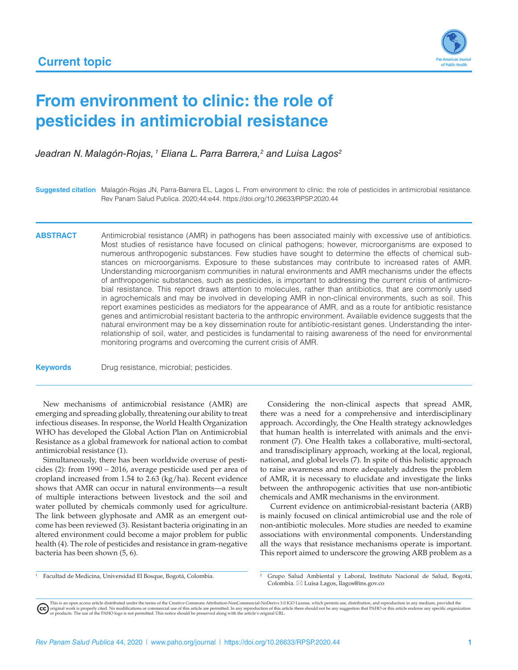

# **From environment to clinic: the role of pesticides in antimicrobial resistance**

*Jeadran N. Malagón-Rojas, 1 Eliana L. Parra Barrera,2 and Luisa Lagos2*

**Suggested citation** Malagón-Rojas JN, Parra-Barrera EL, Lagos L. From environment to clinic: the role of pesticides in antimicrobial resistance. Rev Panam Salud Publica. 2020;44:e44. <https://doi.org/10.26633/RPSP.2020.44>

ABSTRACT Antimicrobial resistance (AMR) in pathogens has been associated mainly with excessive use of antibiotics. Most studies of resistance have focused on clinical pathogens; however, microorganisms are exposed to numerous anthropogenic substances. Few studies have sought to determine the effects of chemical substances on microorganisms. Exposure to these substances may contribute to increased rates of AMR. Understanding microorganism communities in natural environments and AMR mechanisms under the effects of anthropogenic substances, such as pesticides, is important to addressing the current crisis of antimicrobial resistance. This report draws attention to molecules, rather than antibiotics, that are commonly used in agrochemicals and may be involved in developing AMR in non-clinical environments, such as soil. This report examines pesticides as mediators for the appearance of AMR, and as a route for antibiotic resistance genes and antimicrobial resistant bacteria to the anthropic environment. Available evidence suggests that the natural environment may be a key dissemination route for antibiotic-resistant genes. Understanding the interrelationship of soil, water, and pesticides is fundamental to raising awareness of the need for environmental monitoring programs and overcoming the current crisis of AMR.

**Keywords** Drug resistance, microbial; pesticides.

New mechanisms of antimicrobial resistance (AMR) are emerging and spreading globally, threatening our ability to treat infectious diseases. In response, the World Health Organization WHO has developed the Global Action Plan on Antimicrobial Resistance as a global framework for national action to combat antimicrobial resistance (1).

Simultaneously, there has been worldwide overuse of pesticides (2): from 1990 – 2016, average pesticide used per area of cropland increased from 1.54 to 2.63 (kg/ha). Recent evidence shows that AMR can occur in natural environments—a result of multiple interactions between livestock and the soil and water polluted by chemicals commonly used for agriculture. The link between glyphosate and AMR as an emergent outcome has been reviewed (3). Resistant bacteria originating in an altered environment could become a major problem for public health (4). The role of pesticides and resistance in gram-negative bacteria has been shown (5, 6).

Considering the non-clinical aspects that spread AMR, there was a need for a comprehensive and interdisciplinary approach. Accordingly, the One Health strategy acknowledges that human health is interrelated with animals and the environment (7). One Health takes a collaborative, multi-sectoral, and transdisciplinary approach, working at the local, regional, national, and global levels (7). In spite of this holistic approach to raise awareness and more adequately address the problem of AMR, it is necessary to elucidate and investigate the links between the anthropogenic activities that use non-antibiotic chemicals and AMR mechanisms in the environment.

 Current evidence on antimicrobial-resistant bacteria (ARB) is mainly focused on clinical antimicrobial use and the role of non-antibiotic molecules. More studies are needed to examine associations with environmental components. Understanding all the ways that resistance mechanisms operate is important. This report aimed to underscore the growing ARB problem as a

<sup>1</sup> Facultad de Medicina, Universidad El Bosque, Bogotá, Colombia.

<sup>&</sup>lt;sup>2</sup> Grupo Salud Ambiental y Laboral, Instituto Nacional de Salud, Bogotá, Colombia.  $\boxtimes$  Luisa Lagos, [llagos@ins.gov.co](mailto:llagos@ins.gov.co)

This is an open access article distributed under the terms of the [Creative Commons Attribution-NonCommercial-NoDerivs 3.0 IGO License](https://creativecommons.org/licenses/by-nc-nd/3.0/igo/legalcode), which permits use, distribution, and reproduction in any medium, provided the<br>orignal w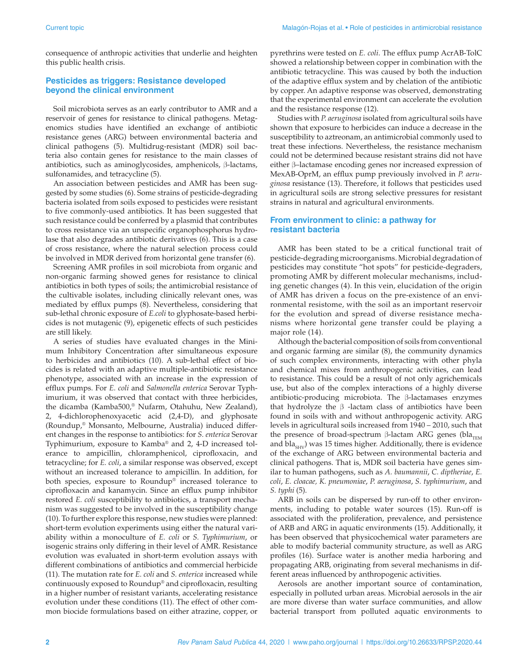consequence of anthropic activities that underlie and heighten this public health crisis.

## **Pesticides as triggers: Resistance developed beyond the clinical environment**

Soil microbiota serves as an early contributor to AMR and a reservoir of genes for resistance to clinical pathogens. Metagenomics studies have identified an exchange of antibiotic resistance genes (ARG) between environmental bacteria and clinical pathogens (5). Multidrug-resistant (MDR) soil bacteria also contain genes for resistance to the main classes of antibiotics, such as aminoglycosides, amphenicols, β-lactams, sulfonamides, and tetracycline (5).

An association between pesticides and AMR has been suggested by some studies (6). Some strains of pesticide-degrading bacteria isolated from soils exposed to pesticides were resistant to five commonly-used antibiotics. It has been suggested that such resistance could be conferred by a plasmid that contributes to cross resistance via an unspecific organophosphorus hydrolase that also degrades antibiotic derivatives (6). This is a case of cross resistance, where the natural selection process could be involved in MDR derived from horizontal gene transfer (6).

Screening AMR profiles in soil microbiota from organic and non-organic farming showed genes for resistance to clinical antibiotics in both types of soils; the antimicrobial resistance of the cultivable isolates, including clinically relevant ones, was mediated by efflux pumps (8). Nevertheless, considering that sub-lethal chronic exposure of *E.coli* to glyphosate-based herbicides is not mutagenic (9), epigenetic effects of such pesticides are still likely.

A series of studies have evaluated changes in the Minimum Inhibitory Concentration after simultaneous exposure to herbicides and antibiotics (10). A sub-lethal effect of biocides is related with an adaptive multiple-antibiotic resistance phenotype, associated with an increase in the expression of efflux pumps. For *E. coli* and *Salmonella enterica* Serovar Typhimurium, it was observed that contact with three herbicides, the dicamba (Kamba500,® Nufarm, Otahuhu, New Zealand), 2, 4-dichlorophenoxyacetic acid (2,4-D), and glyphosate (Roundup,® Monsanto, Melbourne, Australia) induced different changes in the response to antibiotics: for *S. enterica* Serovar Typhimurium, exposure to Kamba® and 2, 4-D increased tolerance to ampicillin, chloramphenicol, ciprofloxacin, and tetracycline; for *E. coli*, a similar response was observed, except without an increased tolerance to ampicillin. In addition, for both species, exposure to Roundup® increased tolerance to ciprofloxacin and kanamycin. Since an efflux pump inhibitor restored *E. coli* susceptibility to antibiotics, a transport mechanism was suggested to be involved in the susceptibility change (10). To further explore this response, new studies were planned: short-term evolution experiments using either the natural variability within a monoculture of *E. coli* or *S. Typhimurium*, or isogenic strains only differing in their level of AMR. Resistance evolution was evaluated in short-term evolution assays with different combinations of antibiotics and commercial herbicide (11). The mutation rate for *E. coli* and *S. enterica* increased while continuously exposed to Roundup® and ciprofloxacin, resulting in a higher number of resistant variants, accelerating resistance evolution under these conditions (11). The effect of other common biocide formulations based on either atrazine, copper, or pyrethrins were tested on *E. coli*. The efflux pump AcrAB-TolC showed a relationship between copper in combination with the antibiotic tetracycline. This was caused by both the induction of the adaptive efflux system and by chelation of the antibiotic by copper. An adaptive response was observed, demonstrating that the experimental environment can accelerate the evolution and the resistance response (12).

Studies with *P. aeruginosa* isolated from agricultural soils have shown that exposure to herbicides can induce a decrease in the susceptibility to aztreonam, an antimicrobial commonly used to treat these infections. Nevertheless, the resistance mechanism could not be determined because resistant strains did not have either β–lactamase encoding genes nor increased expression of MexAB-OprM, an efflux pump previously involved in *P. aeruginosa* resistance (13). Therefore, it follows that pesticides used in agricultural soils are strong selective pressures for resistant strains in natural and agricultural environments.

#### **From environment to clinic: a pathway for resistant bacteria**

AMR has been stated to be a critical functional trait of pesticide-degrading microorganisms. Microbial degradation of pesticides may constitute "hot spots" for pesticide-degraders, promoting AMR by different molecular mechanisms, including genetic changes (4). In this vein, elucidation of the origin of AMR has driven a focus on the pre-existence of an environmental resistome, with the soil as an important reservoir for the evolution and spread of diverse resistance mechanisms where horizontal gene transfer could be playing a major role (14).

Although the bacterial composition of soils from conventional and organic farming are similar (8), the community dynamics of such complex environments, interacting with other phyla and chemical mixes from anthropogenic activities, can lead to resistance. This could be a result of not only agrichemicals use, but also of the complex interactions of a highly diverse antibiotic-producing microbiota. The β-lactamases enzymes that hydrolyze the  $β$  -lactam class of antibiotics have been found in soils with and without anthropogenic activity. ARG levels in agricultural soils increased from 1940 – 2010, such that the presence of broad-spectrum β-lactam ARG genes (bla<sub>TEM</sub> and  $bla<sub>SHV</sub>$ ) was 15 times higher. Additionally, there is evidence of the exchange of ARG between environmental bacteria and clinical pathogens. That is, MDR soil bacteria have genes similar to human pathogens, such as *A. baumannii*, *C. diptheriae*, *E. coli*, *E. cloacae, K. pneumoniae*, *P. aeruginosa*, *S. typhimurium*, and *S. typhi* (5).

ARB in soils can be dispersed by run-off to other environments, including to potable water sources (15). Run-off is associated with the proliferation, prevalence, and persistence of ARB and ARG in aquatic environments (15). Additionally, it has been observed that physicochemical water parameters are able to modify bacterial community structure, as well as ARG profiles (16). Surface water is another media harboring and propagating ARB, originating from several mechanisms in different areas influenced by anthropogenic activities.

Aerosols are another important source of contamination, especially in polluted urban areas. Microbial aerosols in the air are more diverse than water surface communities, and allow bacterial transport from polluted aquatic environments to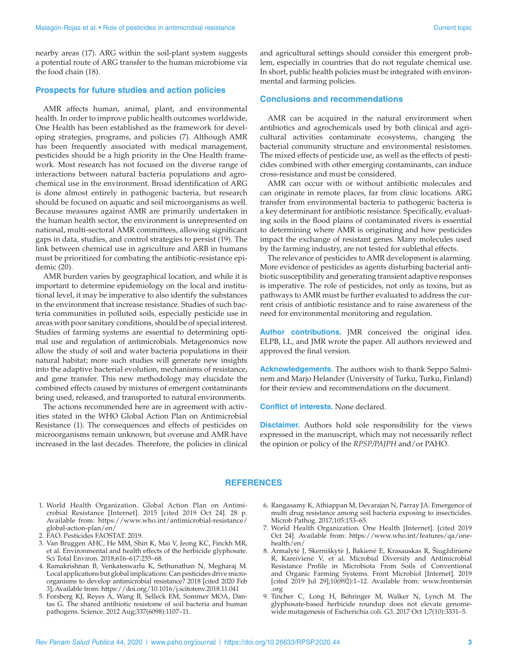nearby areas (17). ARG within the soil-plant system suggests a potential route of ARG transfer to the human microbiome via the food chain (18).

#### **Prospects for future studies and action policies**

AMR affects human, animal, plant, and environmental health. In order to improve public health outcomes worldwide, One Health has been established as the framework for developing strategies, programs, and policies (7). Although AMR has been frequently associated with medical management, pesticides should be a high priority in the One Health framework. Most research has not focused on the diverse range of interactions between natural bacteria populations and agrochemical use in the environment. Broad identification of ARG is done almost entirely in pathogenic bacteria, but research should be focused on aquatic and soil microorganisms as well. Because measures against AMR are primarily undertaken in the human health sector, the environment is unrepresented on national, multi-sectoral AMR committees, allowing significant gaps in data, studies, and control strategies to persist (19). The link between chemical use in agriculture and ARB in humans must be prioritized for combating the antibiotic-resistance epidemic (20).

AMR burden varies by geographical location, and while it is important to determine epidemiology on the local and institutional level, it may be imperative to also identify the substances in the environment that increase resistance. Studies of such bacteria communities in polluted soils, especially pesticide use in areas with poor sanitary conditions, should be of special interest. Studies of farming systems are essential to determining optimal use and regulation of antimicrobials. Metagenomics now allow the study of soil and water bacteria populations in their natural habitat; more such studies will generate new insights into the adaptive bacterial evolution, mechanisms of resistance, and gene transfer. This new methodology may elucidate the combined effects caused by mixtures of emergent contaminants being used, released, and transported to natural environments.

The actions recommended here are in agreement with activities stated in the WHO Global Action Plan on Antimicrobial Resistance (1). The consequences and effects of pesticides on microorganisms remain unknown, but overuse and AMR have increased in the last decades. Therefore, the policies in clinical

and agricultural settings should consider this emergent problem, especially in countries that do not regulate chemical use. In short, public health policies must be integrated with environmental and farming policies.

### **Conclusions and recommendations**

AMR can be acquired in the natural environment when antibiotics and agrochemicals used by both clinical and agricultural activities contaminate ecosystems, changing the bacterial community structure and environmental resistomes. The mixed effects of pesticide use, as well as the effects of pesticides combined with other emerging contaminants, can induce cross-resistance and must be considered.

AMR can occur with or without antibiotic molecules and can originate in remote places, far from clinic locations. ARG transfer from environmental bacteria to pathogenic bacteria is a key determinant for antibiotic resistance. Specifically, evaluating soils in the flood plains of contaminated rivers is essential to determining where AMR is originating and how pesticides impact the exchange of resistant genes. Many molecules used by the farming industry, are not tested for sublethal effects.

The relevance of pesticides to AMR development is alarming. More evidence of pesticides as agents disturbing bacterial antibiotic susceptibility and generating transient adaptive responses is imperative. The role of pesticides, not only as toxins, but as pathways to AMR must be further evaluated to address the current crisis of antibiotic resistance and to raise awareness of the need for environmental monitoring and regulation.

**Author contributions.** JMR conceived the original idea. ELPB, LL, and JMR wrote the paper. All authors reviewed and approved the final version.

**Acknowledgements.** The authors wish to thank Seppo Salminem and Marjo Helander (University of Turku, Turku, Finland) for their review and recommendations on the document.

**Conflict of interests.** None declared.

**Disclaimer.** Authors hold sole responsibility for the views expressed in the manuscript, which may not necessarily reflect the opinion or policy of the *RPSP/PAJPH* and/or PAHO.

#### **REFERENCES**

- 1. World Health Organization. Global Action Plan on Antimicrobial Resistance [Internet]. 2015 [cited 2019 Oct 24]. 28 p. Available from: [https://www.who.int/antimicrobial-resistance/](https://www.who.int/antimicrobial-resistance/global-action-plan/en) [global-action-plan/en/](https://www.who.int/antimicrobial-resistance/global-action-plan/en)
- 2. FAO. Pesticides FAOSTAT. 2019.
- 3. Van Bruggen AHC, He MM, Shin K, Mai V, Jeong KC, Finckh MR, et al. Environmental and health effects of the herbicide glyphosate. Sci Total Environ. 2018;616–617:255–68.
- 4. Ramakrishnan B, Venkateswarlu K, Sethunathan N, Megharaj M. Local applications but global implications: Can pesticides drive microorganisms to develop antimicrobial resistance? 2018 [cited 2020 Feb 3]; Available from: <https://doi.org/10.1016/j.scitotenv.2018.11.041>
- 5. Forsberg KJ, Reyes A, Wang B, Selleck EM, Sommer MOA, Dantas G. The shared antibiotic resistome of soil bacteria and human pathogens. Science. 2012 Aug;337(6098):1107–11.
- 6. Rangasamy K, Athiappan M, Devarajan N, Parray JA. Emergence of multi drug resistance among soil bacteria exposing to insecticides. Microb Pathog. 2017;105:153–65.
- 7. World Health Organization. One Health [Internet]. [cited 2019 Oct 24]. Available from: [https://www.who.int/features/qa/one](https://www.who.int/features/qa/one-health/en)[health/en/](https://www.who.int/features/qa/one-health/en)
- 8. Armalytė J, Skerniškytė J, Bakienė E, Krasauskas R, Šiugždinienė R, Kareivienė V, et al. Microbial Diversity and Antimicrobial Resistance Profile in Microbiota From Soils of Conventional and Organic Farming Systems. Front Microbiol [Internet]. 2019 [cited 2019 Jul 29];10(892):1–12. Available from: [www.frontiersin](www.frontiersin.org) [.org](www.frontiersin.org)
- 9. Tincher C, Long H, Behringer M, Walker N, Lynch M. The glyphosate-based herbicide roundup does not elevate genomewide mutagenesis of Escherichia coli. G3. 2017 Oct 1;7(10):3331–5.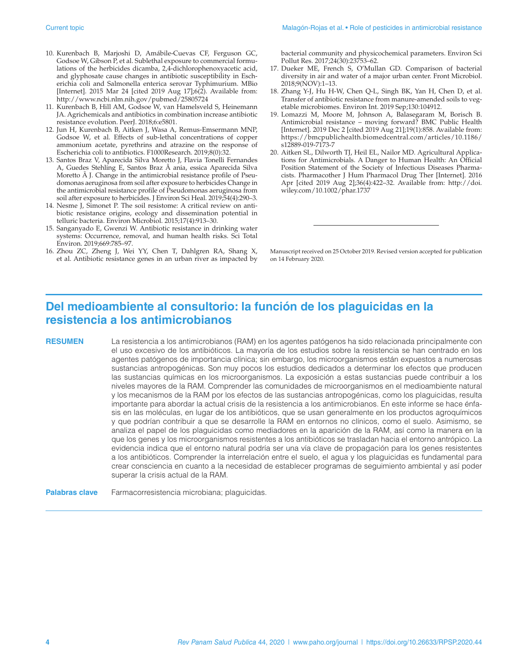- 10. Kurenbach B, Marjoshi D, Amábile-Cuevas CF, Ferguson GC, Godsoe W, Gibson P, et al. Sublethal exposure to commercial formulations of the herbicides dicamba, 2,4-dichlorophenoxyacetic acid, and glyphosate cause changes in antibiotic susceptibility in Escherichia coli and Salmonella enterica serovar Typhimurium. MBio [Internet]. 2015 Mar 24 [cited 2019 Aug 17];6(2). Available from: <http://www.ncbi.nlm.nih.gov/pubmed/25805724>
- 11. Kurenbach B, Hill AM, Godsoe W, van Hamelsveld S, Heinemann JA. Agrichemicals and antibiotics in combination increase antibiotic resistance evolution. PeerJ. 2018;6:e5801.
- 12. Jun H, Kurenbach B, Aitken J, Wasa A, Remus-Emsermann MNP, Godsoe W, et al. Effects of sub-lethal concentrations of copper ammonium acetate, pyrethrins and atrazine on the response of Escherichia coli to antibiotics. F1000Research. 2019;8(0):32.
- 13. Santos Braz V, Aparecida Silva Moretto J, Flavia Tonelli Fernandes A, Guedes Stehling E, Santos Braz à ania, essica Aparecida Silva Moretto à J. Change in the antimicrobial resistance profile of Pseudomonas aeruginosa from soil after exposure to herbicides Change in the antimicrobial resistance profile of Pseudomonas aeruginosa from soil after exposure to herbicides. J Environ Sci Heal. 2019;54(4):290–3.
- 14. Nesme J, Simonet P. The soil resistome: A critical review on antibiotic resistance origins, ecology and dissemination potential in telluric bacteria. Environ Microbiol. 2015;17(4):913–30.
- 15. Sanganyado E, Gwenzi W. Antibiotic resistance in drinking water systems: Occurrence, removal, and human health risks. Sci Total Environ. 2019;669:785–97.
- 16. Zhou ZC, Zheng J, Wei YY, Chen T, Dahlgren RA, Shang X, et al. Antibiotic resistance genes in an urban river as impacted by

bacterial community and physicochemical parameters. Environ Sci Pollut Res. 2017;24(30):23753–62.

- 17. Dueker ME, French S, O'Mullan GD. Comparison of bacterial diversity in air and water of a major urban center. Front Microbiol. 2018;9(NOV):1–13.
- 18. Zhang Y-J, Hu H-W, Chen Q-L, Singh BK, Yan H, Chen D, et al. Transfer of antibiotic resistance from manure-amended soils to vegetable microbiomes. Environ Int. 2019 Sep;130:104912.
- 19. Lomazzi M, Moore M, Johnson A, Balasegaram M, Borisch B. Antimicrobial resistance – moving forward? BMC Public Health [Internet]. 2019 Dec 2 [cited 2019 Aug 21];19(1):858. Available from: [https://bmcpublichealth.biomedcentral.com/articles/10.1186/](https://bmcpublichealth.biomedcentral.com/articles/10.1186/s12889-019-7173-7) [s12889-019-7173-7](https://bmcpublichealth.biomedcentral.com/articles/10.1186/s12889-019-7173-7)
- 20. Aitken SL, Dilworth TJ, Heil EL, Nailor MD. Agricultural Applications for Antimicrobials. A Danger to Human Health: An Official Position Statement of the Society of Infectious Diseases Pharmacists. Pharmacother J Hum Pharmacol Drug Ther [Internet]. 2016 Apr [cited 2019 Aug 2];36(4):422–32. Available from: [http://doi.](http://doi.wiley.com/10.1002/phar.1737) [wiley.com/10.1002/phar.1737](http://doi.wiley.com/10.1002/phar.1737)

Manuscript received on 25 October 2019. Revised version accepted for publication on 14 February 2020.

# **Del medioambiente al consultorio: la función de los plaguicidas en la resistencia a los antimicrobianos**

**RESUMEN** La resistencia a los antimicrobianos (RAM) en los agentes patógenos ha sido relacionada principalmente con el uso excesivo de los antibióticos. La mayoría de los estudios sobre la resistencia se han centrado en los agentes patógenos de importancia clínica; sin embargo, los microorganismos están expuestos a numerosas sustancias antropogénicas. Son muy pocos los estudios dedicados a determinar los efectos que producen las sustancias químicas en los microorganismos. La exposición a estas sustancias puede contribuir a los niveles mayores de la RAM. Comprender las comunidades de microorganismos en el medioambiente natural y los mecanismos de la RAM por los efectos de las sustancias antropogénicas, como los plaguicidas, resulta importante para abordar la actual crisis de la resistencia a los antimicrobianos. En este informe se hace énfasis en las moléculas, en lugar de los antibióticos, que se usan generalmente en los productos agroquímicos y que podrían contribuir a que se desarrolle la RAM en entornos no clínicos, como el suelo. Asimismo, se analiza el papel de los plaguicidas como mediadores en la aparición de la RAM, así como la manera en la que los genes y los microorganismos resistentes a los antibióticos se trasladan hacia el entorno antrópico. La evidencia indica que el entorno natural podría ser una vía clave de propagación para los genes resistentes a los antibióticos. Comprender la interrelación entre el suelo, el agua y los plaguicidas es fundamental para crear consciencia en cuanto a la necesidad de establecer programas de seguimiento ambiental y así poder superar la crisis actual de la RAM.

#### **Palabras clave** Farmacorresistencia microbiana; plaguicidas.